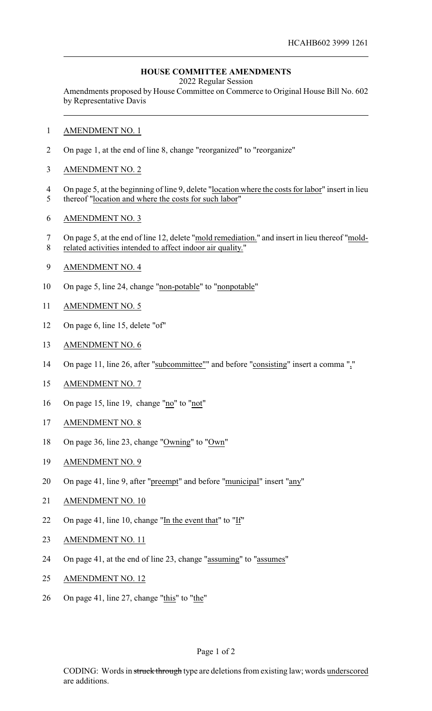## **HOUSE COMMITTEE AMENDMENTS**

2022 Regular Session

Amendments proposed by House Committee on Commerce to Original House Bill No. 602 by Representative Davis

- 1 AMENDMENT NO. 1
- 2 On page 1, at the end of line 8, change "reorganized" to "reorganize"
- 3 AMENDMENT NO. 2
- 4 On page 5, at the beginning of line 9, delete "location where the costs for labor" insert in lieu
- 5 thereof "location and where the costs for such labor"
- 6 AMENDMENT NO. 3
- 7 On page 5, at the end of line 12, delete "mold remediation." and insert in lieu thereof "mold-8 related activities intended to affect indoor air quality."
- 9 AMENDMENT NO. 4
- 10 On page 5, line 24, change "non-potable" to "nonpotable"
- 11 AMENDMENT NO. 5
- 12 On page 6, line 15, delete "of"
- 13 AMENDMENT NO. 6
- 14 On page 11, line 26, after "subcommittee"" and before "consisting" insert a comma ","
- 15 AMENDMENT NO. 7
- 16 On page 15, line 19, change "no" to "not"
- 17 AMENDMENT NO. 8
- 18 On page 36, line 23, change "Owning" to "Own"
- 19 AMENDMENT NO. 9
- 20 On page 41, line 9, after "preempt" and before "municipal" insert "any"
- 21 AMENDMENT NO. 10
- 22 On page 41, line 10, change "In the event that" to "If"
- 23 AMENDMENT NO. 11
- 24 On page 41, at the end of line 23, change "assuming" to "assumes"
- 25 AMENDMENT NO. 12
- 26 On page 41, line 27, change "this" to "the"